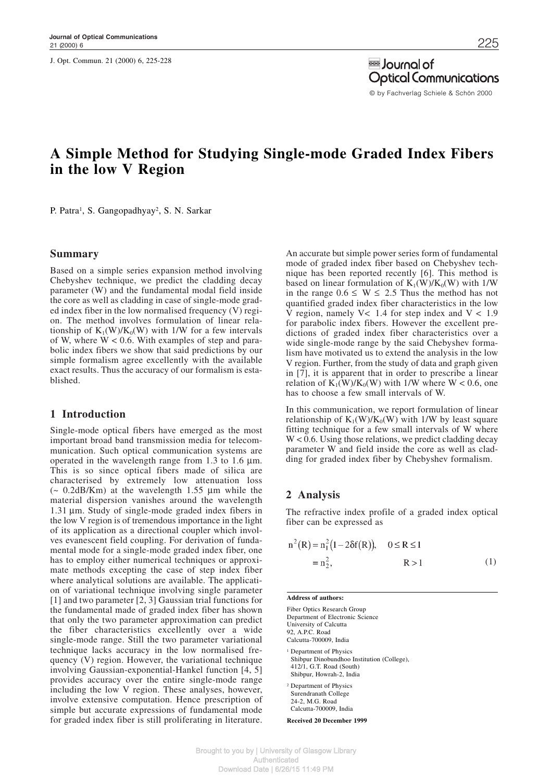J. Opt. Commun. 21 (2000) 6, 225-228

a lournal of **Optical Communications** © by Fachverlag Schiele & Schön 2000

# **A Simple Method for Studying Single-mode Graded Index Fibers in the low V Region**

P. Patra<sup>1</sup>, S. Gangopadhyay<sup>2</sup>, S. N. Sarkar

#### **Summary**

Based on a simple series expansion method involving Chebyshev technique, we predict the cladding decay parameter (W) and the fundamental modal field inside the core as well as cladding in case of single-mode graded index fiber in the low normalised frequency (V) region. The method involves formulation of linear relationship of  $K_1(W)/K_0(W)$  with 1/W for a few intervals of W, where  $W < 0.6$ . With examples of step and parabolic index fibers we show that said predictions by our simple formalism agree excellently with the available exact results. Thus the accuracy of our formalism is established.

# **1 Introduction**

Single-mode optical fibers have emerged as the most important broad band transmission media for telecommunication. Such optical communication systems are operated in the wavelength range from 1.3 to 1.6  $\mu$ m. This is so since optical fibers made of silica are characterised by extremely low attenuation loss  $\sim 0.2$ dB/Km) at the wavelength 1.55  $\mu$ m while the material dispersion vanishes around the wavelength 1.31 µm. Study of single-mode graded index fibers in the low V region is of tremendous importance in the light of its application as a directional coupler which involves evanescent field coupling. For derivation of fundamental mode for a single-mode graded index fiber, one has to employ either numerical techniques or approximate methods excepting the case of step index fiber where analytical solutions are available. The application of variational technique involving single parameter [1] and two parameter [2, 3] Gaussian trial functions for the fundamental made of graded index fiber has shown that only the two parameter approximation can predict the fiber characteristics excellently over a wide single-mode range. Still the two parameter variational technique lacks accuracy in the low normalised frequency (V) region. However, the variational technique involving Gaussian-exponential-Hankel function [4, 5] provides accuracy over the entire single-mode range including the low V region. These analyses, however, involve extensive computation. Hence prescription of simple but accurate expressions of fundamental mode for graded index fiber is still proliferating in literature.

An accurate but simple power series form of fundamental mode of graded index fiber based on Chebyshev technique has been reported recently [6]. This method is based on linear formulation of  $K_1(W)/K_0(W)$  with 1/W in the range  $0.6 \le W \le 2.5$  Thus the method has not quantified graded index fiber characteristics in the low V region, namely  $V < 1.4$  for step index and  $V < 1.9$ for parabolic index fibers. However the excellent predictions of graded index fiber characteristics over a wide single-mode range by the said Chebyshev formalism have motivated us to extend the analysis in the low V region. Further, from the study of data and graph given in [7], it is apparent that in order to prescribe a linear relation of  $K_1(W)/K_0(W)$  with 1/W where W < 0.6, one has to choose a few small intervals of W.

In this communication, we report formulation of linear relationship of  $K_1(W)/K_0(W)$  with 1/W by least square fitting technique for a few small intervals of W where W < 0.6. Using those relations, we predict cladding decay parameter W and field inside the core as well as cladding for graded index fiber by Chebyshev formalism.

# **2 Analysis**

The refractive index profile of a graded index optical fiber can be expressed as

$$
n^{2}(R) = n_{1}^{2}(1 - 2\delta f(R)), \quad 0 \le R \le 1
$$
  
= n\_{2}^{2}, \qquad R > 1 \qquad (1)

**Address of authors:**

Fiber Optics Research Group Department of Electronic Science University of Calcutta 92, A.P.C. Road Calcutta-700009, India <sup>1</sup> Department of Physics Shibpur Dinobundhoo Institution (College), 412/1, G.T. Road (South) Shibpur, Howrah-2, India <sup>2</sup> Department of Physics Surendranath College

24-2, M.G. Road Calcutta-700009, India

**Received 20 December 1999**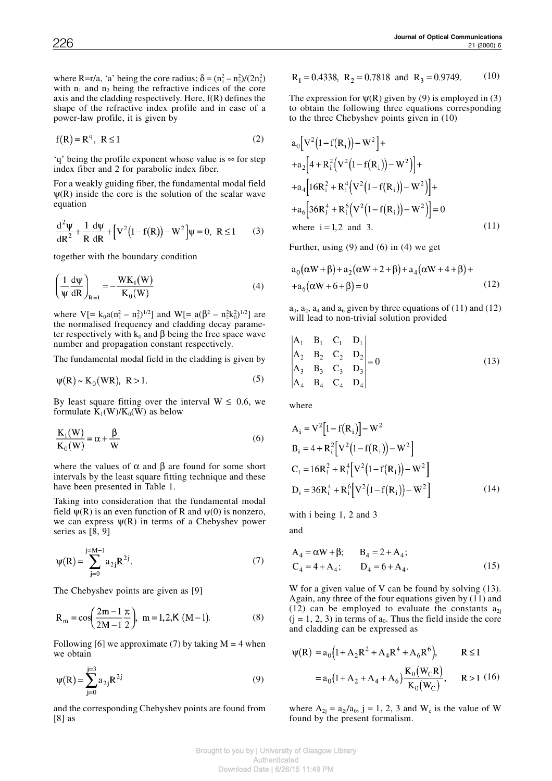where R=r/a, 'a' being the core radius;  $\delta = (n_1^2 - n_2^2)/(2n_1^2)$ with  $n_1$  and  $n_2$  being the refractive indices of the core axis and the cladding respectively. Here, f(R) defines the shape of the refractive index profile and in case of a power-law profile, it is given by

$$
f(R) = Rq, R \le 1
$$
 (2)

'q' being the profile exponent whose value is ∞ for step index fiber and 2 for parabolic index fiber.

For a weakly guiding fiber, the fundamental modal field  $\Psi(R)$  inside the core is the solution of the scalar wave equation

$$
\frac{d^2 \psi}{dR^2} + \frac{1}{R} \frac{d\psi}{dR} + \left[ V^2 (1 - f(R)) - W^2 \right] \psi = 0, \ R \le 1
$$
 (3)

together with the boundary condition

$$
\left(\frac{1}{\Psi}\frac{d\Psi}{dR}\right)_{R=1} = -\frac{WK_1(W)}{K_0(W)}
$$
\n(4)

where  $V = k_0 a(n_1^2 - n_2^2)^{1/2}$  and  $W = a(\beta^2 - n_2^2 k_0^2)^{1/2}$  are the normalised frequency and cladding decay parameter respectively with  $k_0$  and  $\beta$  being the free space wave number and propagation constant respectively.

The fundamental modal field in the cladding is given by

$$
\psi(R) \sim K_0(WR), \ R > 1. \tag{5}
$$

By least square fitting over the interval  $W \le 0.6$ , we formulate  $K_1(W)/K_0(W)$  as below

$$
\frac{\mathbf{K}_1(\mathbf{W})}{\mathbf{K}_0(\mathbf{W})} = \alpha + \frac{\beta}{\mathbf{W}}
$$
 (6)

where the values of  $\alpha$  and  $\beta$  are found for some short intervals by the least square fitting technique and these have been presented in Table 1.

Taking into consideration that the fundamental modal field  $\psi(R)$  is an even function of R and  $\psi(0)$  is nonzero, we can express  $\psi(R)$  in terms of a Chebyshev power series as [8, 9]

$$
\psi(R) = \sum_{j=0}^{j=M-1} a_{2j} R^{2j}.
$$
 (7)

The Chebyshev points are given as [9]

$$
R_{m} = \cos\left(\frac{2m-1}{2M-1}\frac{\pi}{2}\right), \ m = 1, 2, K \ (M-1).
$$
 (8)

Following [6] we approximate (7) by taking  $M = 4$  when we obtain

$$
\psi(R) = \sum_{j=0}^{j=3} a_{2j} R^{2j}
$$
 (9)

and the corresponding Chebyshev points are found from [8] as

$$
R_1 = 0.4338
$$
,  $R_2 = 0.7818$  and  $R_3 = 0.9749$ . (10)

The expression for  $\psi(R)$  given by (9) is employed in (3) to obtain the following three equations corresponding to the three Chebyshev points given in (10)

$$
a_0 [V^2 (1 - f(R_i)) - W^2] +
$$
  
+
$$
a_2 [4 + R_i^2 (V^2 (1 - f(R_i)) - W^2)] +
$$
  
+
$$
a_4 [16R_i^2 + R_i^4 (V^2 (1 - f(R_i)) - W^2)] +
$$
  
+
$$
a_6 [36R_i^4 + R_i^6 (V^2 (1 - f(R_i)) - W^2)] = 0
$$
  
where i = 1,2 and 3. (11)

Further, using (9) and (6) in (4) we get

$$
a_0(\alpha W + \beta) + a_2(\alpha W + 2 + \beta) + a_4(\alpha W + 4 + \beta) ++ a_6(\alpha W + 6 + \beta) = 0
$$
 (12)

 $a_0$ ,  $a_2$ ,  $a_4$  and  $a_6$  given by three equations of (11) and (12) will lead to non-trivial solution provided

$$
\begin{vmatrix} A_1 & B_1 & C_1 & D_1 \ A_2 & B_2 & C_2 & D_2 \ A_3 & B_3 & C_3 & D_3 \ A_4 & B_4 & C_4 & D_4 \end{vmatrix} = 0
$$
\n(13)

where

$$
A_{i} = V^{2}[1 - f(R_{i})] - W^{2}
$$
  
\n
$$
B_{i} = 4 + R_{i}^{2}[V^{2}(1 - f(R_{i})) - W^{2}]
$$
  
\n
$$
C_{i} = 16R_{i}^{2} + R_{i}^{4}[V^{2}(1 - f(R_{i})) - W^{2}]
$$
  
\n
$$
D_{i} = 36R_{i}^{4} + R_{i}^{6}[V^{2}(1 - f(R_{i})) - W^{2}]
$$
\n(14)

with i being 1, 2 and 3

and

$$
A_4 = \alpha W + \beta; \qquad B_4 = 2 + A_4; C_4 = 4 + A_4; \qquad D_4 = 6 + A_4.
$$
 (15)

W for a given value of V can be found by solving (13). Again, any three of the four equations given by (11) and (12) can be employed to evaluate the constants  $a_{2i}$  $(j = 1, 2, 3)$  in terms of  $a_0$ . Thus the field inside the core and cladding can be expressed as

$$
\psi(R) = a_0 \left( 1 + A_2 R^2 + A_4 R^4 + A_6 R^6 \right), \qquad R \le 1
$$
  
=  $a_0 \left( 1 + A_2 + A_4 + A_6 \right) \frac{K_0(W_C R)}{K_0(W_C)}, \qquad R > 1 \quad (16)$ 

where  $A_{2j} = a_{2j}/a_0$ , j = 1, 2, 3 and W<sub>c</sub> is the value of W found by the present formalism.

Brought to you by | University of Glasgow Library **Authenticated** Download Date | 6/26/15 11:49 PM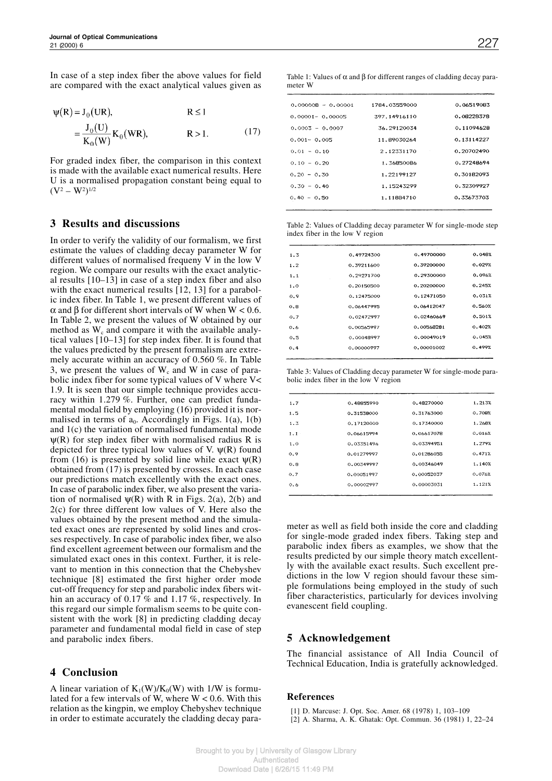In case of a step index fiber the above values for field are compared with the exact analytical values given as

$$
\psi(R) = J_0(UR), \qquad R \le 1
$$
  
=  $\frac{J_0(U)}{K_0(W)} K_0(WR), \qquad R > 1.$  (17)

For graded index fiber, the comparison in this context is made with the available exact numerical results. Here U is a normalised propagation constant being equal to  $(V^2 - W^2)^{1/2}$ 

#### **3 Results and discussions**

In order to verify the validity of our formalism, we first estimate the values of cladding decay parameter W for different values of normalised frequeny V in the low V region. We compare our results with the exact analytical results [10–13] in case of a step index fiber and also with the exact numerical results [12, 13] for a parabolic index fiber. In Table 1, we present different values of α and β for different short intervals of W when W < 0.6. In Table 2, we present the values of W obtained by our method as  $W_c$  and compare it with the available analytical values [10–13] for step index fiber. It is found that the values predicted by the present formalism are extremely accurate within an accuracy of 0.560 %. In Table 3, we present the values of  $W_c$  and W in case of parabolic index fiber for some typical values of V where V< 1.9. It is seen that our simple technique provides accuracy within 1.279 %. Further, one can predict fundamental modal field by employing (16) provided it is normalised in terms of  $a_0$ . Accordingly in Figs. 1(a), 1(b) and 1(c) the variation of normalised fundamental mode  $\psi(R)$  for step index fiber with normalised radius R is depicted for three typical low values of V.  $\psi(R)$  found from (16) is presented by solid line while exact  $\psi(R)$ obtained from (17) is presented by crosses. In each case our predictions match excellently with the exact ones. In case of parabolic index fiber, we also present the variation of normalised  $\psi(R)$  with R in Figs. 2(a), 2(b) and 2(c) for three different low values of V. Here also the values obtained by the present method and the simulated exact ones are represented by solid lines and crosses respectively. In case of parabolic index fiber, we also find excellent agreement between our formalism and the simulated exact ones in this context. Further, it is relevant to mention in this connection that the Chebyshev technique [8] estimated the first higher order mode cut-off frequency for step and parabolic index fibers within an accuracy of 0.17 % and 1.17 %, respectively. In this regard our simple formalism seems to be quite consistent with the work [8] in predicting cladding decay parameter and fundamental modal field in case of step and parabolic index fibers.

# **4 Conclusion**

A linear variation of  $K_1(W)/K_0(W)$  with 1/W is formulated for a few intervals of W, where  $W < 0.6$ . With this relation as the kingpin, we employ Chebyshev technique in order to estimate accurately the cladding decay para-

Table 1: Values of  $\alpha$  and  $\beta$  for different ranges of cladding decay parameter W

| $0.000008 - 0.00001$ | 1784.03559000 | 0.06519083 |
|----------------------|---------------|------------|
| $0.00001 - 0.00005$  | 397.14916110  | 0.08228378 |
| $0.0003 - 0.0007$    | 36.29120034   | 0.11094628 |
| $0.001 - 0.005$      | 11.89030264   | 0.13114227 |
| $0.01 - 0.10$        | 2.12331170    | 0.20702490 |
| $0.10 - 0.20$        | 1.36850086    | 0.27248694 |
| $0.20 - 0.30$        | 1.22199127    | 0.30182093 |
| $0.30 - 0.40$        | 1.15243299    | 0.32309927 |
| $0.40 - 0.50$        | 1.11884710    | 0.33673703 |
|                      |               |            |

Table 2: Values of Cladding decay parameter W for single-mode step index fiber in the low V region

| 1.3 | 0.49724300 | 0.49700000 | 0.0482 |
|-----|------------|------------|--------|
| 1.2 | 0.39211600 | 0.39200000 | 0.0292 |
| 1.1 | 0.29271700 | 0.29300000 | 0.096% |
| 1.0 | 0.20150500 | 0.20200000 | 0.2452 |
| 0.9 | 0.12475000 | 0.12471050 | 0.031% |
| 0.8 | 0.06447995 | 0.06412047 | 0.560% |
| 0.7 | 0.02472997 | 0.02460669 | 0.5017 |
| 0.6 | 0.00565997 | 0.00568281 | 0.4022 |
| 0.5 | 0.00048997 | 0.00049019 | 0.045% |
| 0.4 | 0.00000997 | 0.00001002 | 0.4997 |
|     |            |            |        |

Table 3: Values of Cladding decay parameter W for single-mode parabolic index fiber in the low V region

| 1.7     | 0.48855990 | 0.48270000 | 1.2137 |
|---------|------------|------------|--------|
| 1.5     | 0.31538000 | 0.31763000 | 0.708% |
| 1.3     | 0.17120000 | 0.17340000 | 1.768X |
| $1.1 -$ | 0.06615994 | 0.06617078 | 0.0167 |
| 1.0     | 0.03351496 | 0.03394951 | 1.279% |
| 0.9     | 0.01279997 | 0.01286055 | 0.4712 |
| 0.8     | 0.00349997 | 0.00346049 | 1.1402 |
| 0.7     | 0.00051997 | 0.00052037 | 0.0767 |
| 0.6     | 0.00002997 | 0.00003031 | 1.1217 |
|         |            |            |        |

meter as well as field both inside the core and cladding for single-mode graded index fibers. Taking step and parabolic index fibers as examples, we show that the results predicted by our simple theory match excellently with the available exact results. Such excellent predictions in the low V region should favour these simple formulations being employed in the study of such fiber characteristics, particularly for devices involving evanescent field coupling.

# **5 Acknowledgement**

The financial assistance of All India Council of Technical Education, India is gratefully acknowledged.

#### **References**

[1] D. Marcuse: J. Opt. Soc. Amer. 68 (1978) 1, 103–109 [2] A. Sharma, A. K. Ghatak: Opt. Commun. 36 (1981) 1, 22–24